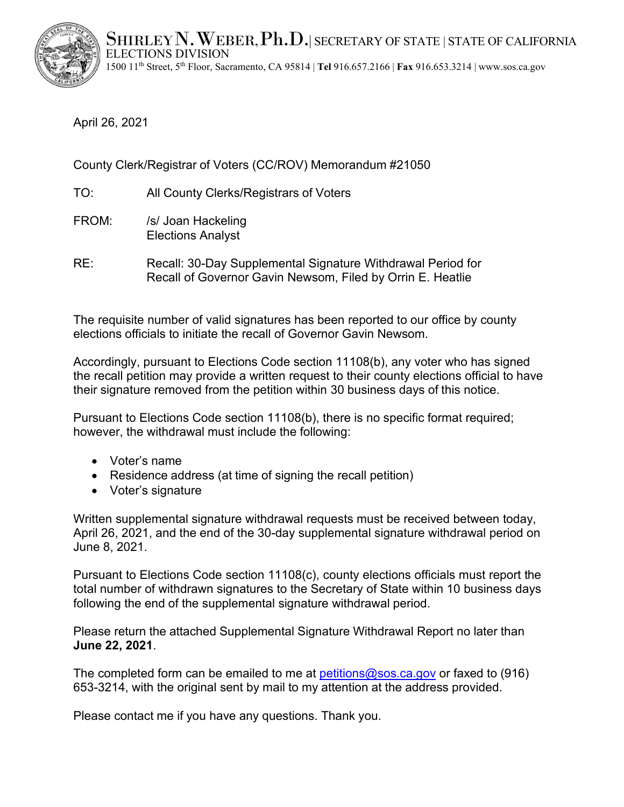$\operatorname{SHIRLEY}$   $\mathbf N$  ,  $\mathbf W$  eber,  $\mathbf Ph$  .  $\mathbf D$  , i secretary of state | state of california  $\mathbf A$ ELECTIONS DIVISION 1500 11th Street, 5th Floor, Sacramento, CA 95814 | **Tel** 916.657.2166 | **Fax** 916.653.3214 | [www.sos.ca.gov](http://www.sos.ca.gov/)



April 26, 2021

County Clerk/Registrar of Voters (CC/ROV) Memorandum #21050

- TO: All County Clerks/Registrars of Voters
- FROM: /s/ Joan Hackeling Elections Analyst
- RE: Recall: 30-Day Supplemental Signature Withdrawal Period for Recall of Governor Gavin Newsom, Filed by Orrin E. Heatlie

The requisite number of valid signatures has been reported to our office by county elections officials to initiate the recall of Governor Gavin Newsom.

Accordingly, pursuant to Elections Code section 11108(b), any voter who has signed the recall petition may provide a written request to their county elections official to have their signature removed from the petition within 30 business days of this notice.

Pursuant to Elections Code section 11108(b), there is no specific format required; however, the withdrawal must include the following:

- Voter's name
- Residence address (at time of signing the recall petition)
- Voter's signature

Written supplemental signature withdrawal requests must be received between today, April 26, 2021, and the end of the 30-day supplemental signature withdrawal period on June 8, 2021.

Pursuant to Elections Code section 11108(c), county elections officials must report the total number of withdrawn signatures to the Secretary of State within 10 business days following the end of the supplemental signature withdrawal period.

Please return the attached Supplemental Signature Withdrawal Report no later than **June 22, 2021**.

The completed form can be emailed to me at petitions  $\omega$  sos.ca.gov or faxed to (916) 653-3214, with the original sent by mail to my attention at the address provided.

Please contact me if you have any questions. Thank you.